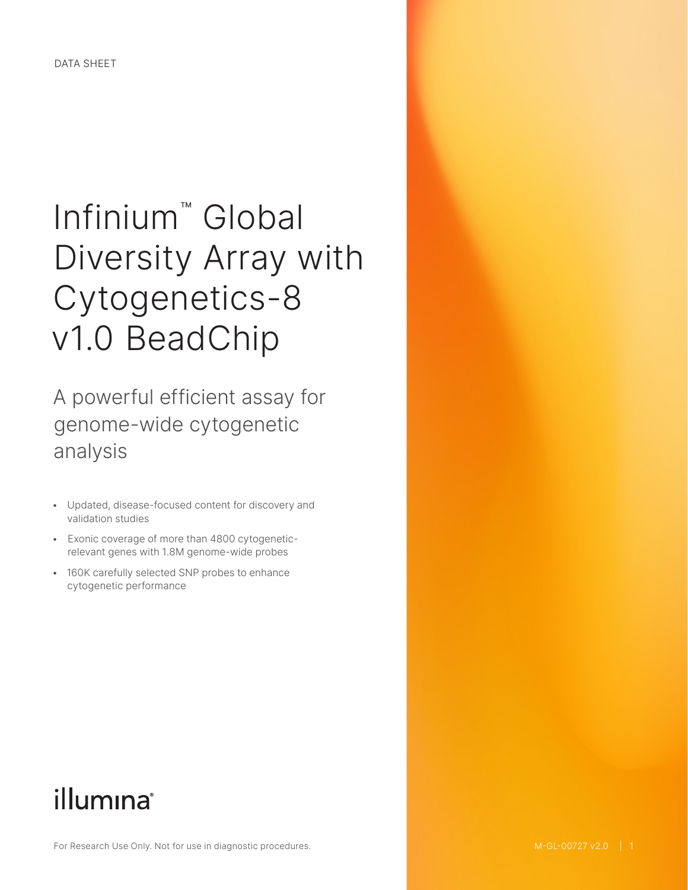# Infinium™ Global Diversity Array with Cytogenetics-8 v1.0 BeadChip

A powerful efficient assay for genome-wide cytogenetic analysis

- Updated, disease-focused content for discovery and validation studies
- Exonic coverage of more than 4800 cytogeneticrelevant genes with 1.8M genome-wide probes
- 160K carefully selected SNP probes to enhance cytogenetic performance

## illumina®

For Research Use Only. Not for use in diagnostic procedures.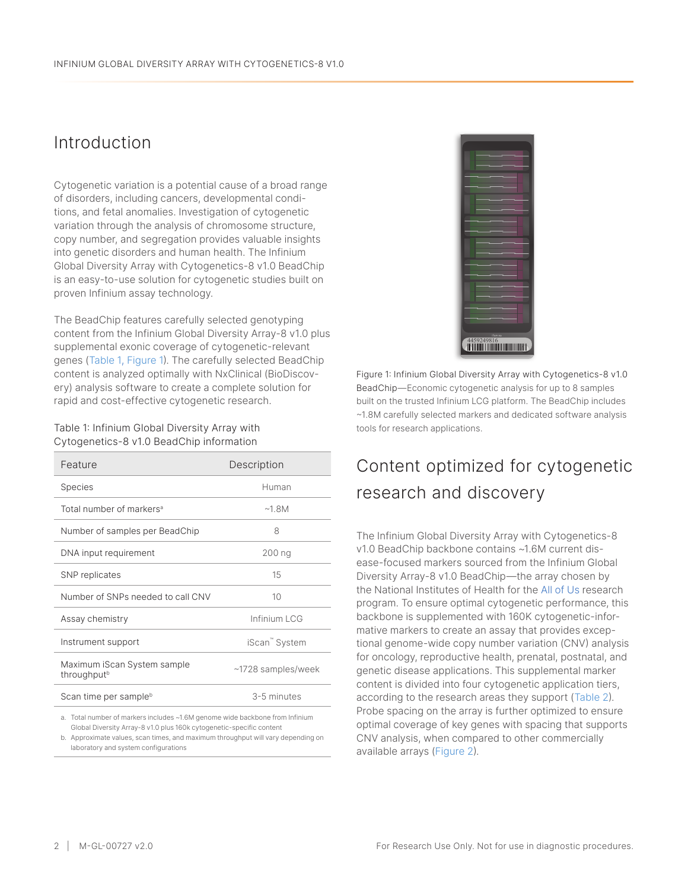#### Introduction

Cytogenetic variation is a potential cause of a broad range of disorders, including cancers, developmental conditions, and fetal anomalies. Investigation of cytogenetic variation through the analysis of chromosome structure, copy number, and segregation provides valuable insights into genetic disorders and human health. The Infinium Global Diversity Array with Cytogenetics-8 v1.0 BeadChip is an easy-to-use solution for cytogenetic studies built on proven Infinium assay technology.

The BeadChip features carefully selected genotyping content from the Infinium Global Diversity Array-8 v1.0 plus supplemental exonic coverage of cytogenetic-relevant genes [\(Table 1](#page-1-0), [Figure 1](#page-1-1)). The carefully selected BeadChip content is analyzed optimally with NxClinical (BioDiscovery) analysis software to create a complete solution for rapid and cost-effective cytogenetic research.

<span id="page-1-0"></span>Table 1: Infinium Global Diversity Array with Cytogenetics-8 v1.0 BeadChip information

| Feature                                                | Description        |
|--------------------------------------------------------|--------------------|
| <b>Species</b>                                         | Human              |
| Total number of markers <sup>a</sup>                   | ~18M               |
| Number of samples per BeadChip                         | 8                  |
| DNA input requirement                                  | 200 ng             |
| SNP replicates                                         | 15                 |
| Number of SNPs needed to call CNV                      | 10                 |
| Assay chemistry                                        | Infinium LCG       |
| Instrument support                                     | iScan" System      |
| Maximum iScan System sample<br>throughput <sup>b</sup> | ~1728 samples/week |
| Scan time per sample <sup>b</sup>                      | 3-5 minutes        |

a. Total number of markers includes ~1.6M genome wide backbone from Infinium Global Diversity Array-8 v1.0 plus 160k cytogenetic-specific content

b. Approximate values, scan times, and maximum throughput will vary depending on laboratory and system configurations



<span id="page-1-1"></span>Figure 1: Infinium Global Diversity Array with Cytogenetics-8 v1.0 BeadChip—Economic cytogenetic analysis for up to 8 samples built on the trusted Infinium LCG platform. The BeadChip includes ~1.8M carefully selected markers and dedicated software analysis tools for research applications.

#### Content optimized for cytogenetic research and discovery

The Infinium Global Diversity Array with Cytogenetics-8 v1.0 BeadChip backbone contains ~1.6M current disease-focused markers sourced from the Infinium Global Diversity Array-8 v1.0 BeadChip—the array chosen by the National Institutes of Health for the [All of Us](https://allofus.nih.gov/) research program. To ensure optimal cytogenetic performance, this backbone is supplemented with 160K cytogenetic-informative markers to create an assay that provides exceptional genome-wide copy number variation (CNV) analysis for oncology, reproductive health, prenatal, postnatal, and genetic disease applications. This supplemental marker content is divided into four cytogenetic application tiers, according to the research areas they support ([Table 2\)](#page-2-0). Probe spacing on the array is further optimized to ensure optimal coverage of key genes with spacing that supports CNV analysis, when compared to other commercially available arrays [\(Figure](#page-2-1) 2).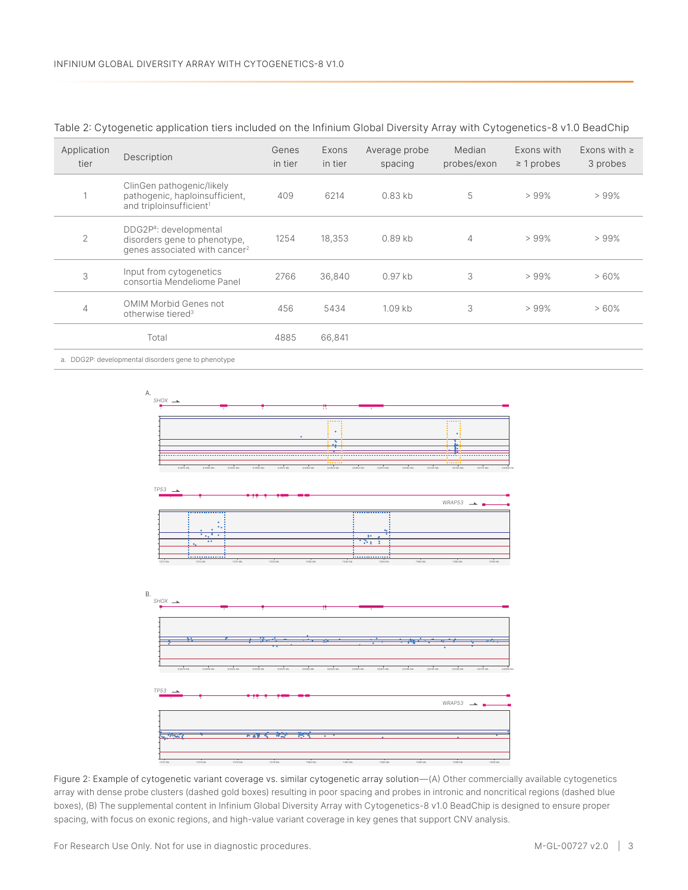| Application<br>tier | Description                                                                                                     | Genes<br>in tier | Exons<br>in tier | Average probe<br>spacing | Median<br>probes/exon | Exons with<br>$\geq$ 1 probes | Exons with $\ge$<br>3 probes |
|---------------------|-----------------------------------------------------------------------------------------------------------------|------------------|------------------|--------------------------|-----------------------|-------------------------------|------------------------------|
|                     | ClinGen pathogenic/likely<br>pathogenic, haploinsufficient,<br>and triploinsufficient <sup>1</sup>              | 409              | 6214             | $0.83$ kb                | 5                     | >99%                          | >99%                         |
| $\overline{2}$      | DDG2P <sup>a</sup> : developmental<br>disorders gene to phenotype,<br>genes associated with cancer <sup>2</sup> | 1254             | 18,353           | $0.89$ kb                | 4                     | >99%                          | >99%                         |
| 3                   | Input from cytogenetics<br>consortia Mendeliome Panel                                                           | 2766             | 36,840           | $0.97$ kb                | 3                     | >99%                          | >60%                         |
| 4                   | OMIM Morbid Genes not<br>otherwise tiered <sup>3</sup>                                                          | 456              | 5434             | $1.09$ kb                | 3                     | >99%                          | >60%                         |
|                     | Total                                                                                                           | 4885             | 66,841           |                          |                       |                               |                              |

<span id="page-2-0"></span>Table 2: Cytogenetic application tiers included on the Infinium Global Diversity Array with Cytogenetics-8 v1.0 BeadChip

a. DDG2P: developmental disorders gene to phenotype



<span id="page-2-1"></span>Figure 2: Example of cytogenetic variant coverage vs. similar cytogenetic array solution—(A) Other commercially available cytogenetics array with dense probe clusters (dashed gold boxes) resulting in poor spacing and probes in intronic and noncritical regions (dashed blue boxes), (B) The supplemental content in Infinium Global Diversity Array with Cytogenetics-8 v1.0 BeadChip is designed to ensure proper spacing, with focus on exonic regions, and high-value variant coverage in key genes that support CNV analysis.

For Research Use Only. Not for use in diagnostic procedures. M-GL-00727 v2.0 | 3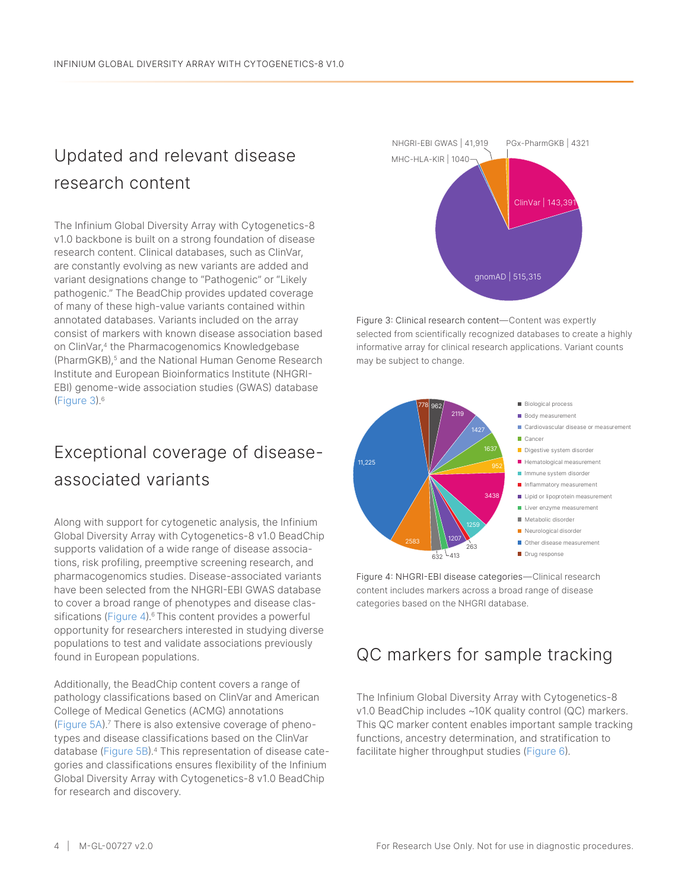### Updated and relevant disease research content

The Infinium Global Diversity Array with Cytogenetics-8 v1.0 backbone is built on a strong foundation of disease research content. Clinical databases, such as ClinVar, are constantly evolving as new variants are added and variant designations change to "Pathogenic" or "Likely pathogenic." The BeadChip provides updated coverage of many of these high-value variants contained within annotated databases. Variants included on the array consist of markers with known disease association based on ClinVar,<sup>[4](#page-6-3)</sup> the Pharmacogenomics Knowledgebase (PharmGKB),<sup>[5](#page-6-4)</sup> and the National Human Genome Research Institute and European Bioinformatics Institute (NHGRI-EBI) genome-wide association studies (GWAS) database ([Figure 3](#page-3-0)).[6](#page-6-5)

#### Exceptional coverage of diseaseassociated variants

Along with support for cytogenetic analysis, the Infinium Global Diversity Array with Cytogenetics-8 v1.0 BeadChip supports validation of a wide range of disease associations, risk profiling, preemptive screening research, and pharmacogenomics studies. Disease-associated variants have been selected from the NHGRI-EBI GWAS database to cover a broad range of phenotypes and disease clas-sifications ([Figure 4](#page-3-1)).<sup>[6](#page-6-5)</sup> This content provides a powerful opportunity for researchers interested in studying diverse populations to test and validate associations previously found in European populations.

Additionally, the BeadChip content covers a range of pathology classifications based on ClinVar and American College of Medical Genetics (ACMG) annotations ([Figure](#page-3-2) 5A)[.7](#page-6-6) There is also extensive coverage of phenotypes and disease classifications based on the ClinVar database [\(Figure 5](#page-3-2)B).[4](#page-6-3) This representation of disease categories and classifications ensures flexibility of the Infinium Global Diversity Array with Cytogenetics-8 v1.0 BeadChip for research and discovery.



<span id="page-3-0"></span>Figure 3: Clinical research content—Content was expertly selected from scientifically recognized databases to create a highly informative array for clinical research applications. Variant counts may be subject to change.



<span id="page-3-2"></span><span id="page-3-1"></span>Figure 4: NHGRI-EBI disease categories—Clinical research content includes markers across a broad range of disease categories based on the NHGRI database.

#### QC markers for sample tracking

The Infinium Global Diversity Array with Cytogenetics-8 v1.0 BeadChip includes ~10K quality control (QC) markers. This QC marker content enables important sample tracking functions, ancestry determination, and stratification to facilitate higher throughput studies ([Figure](#page-4-0) 6).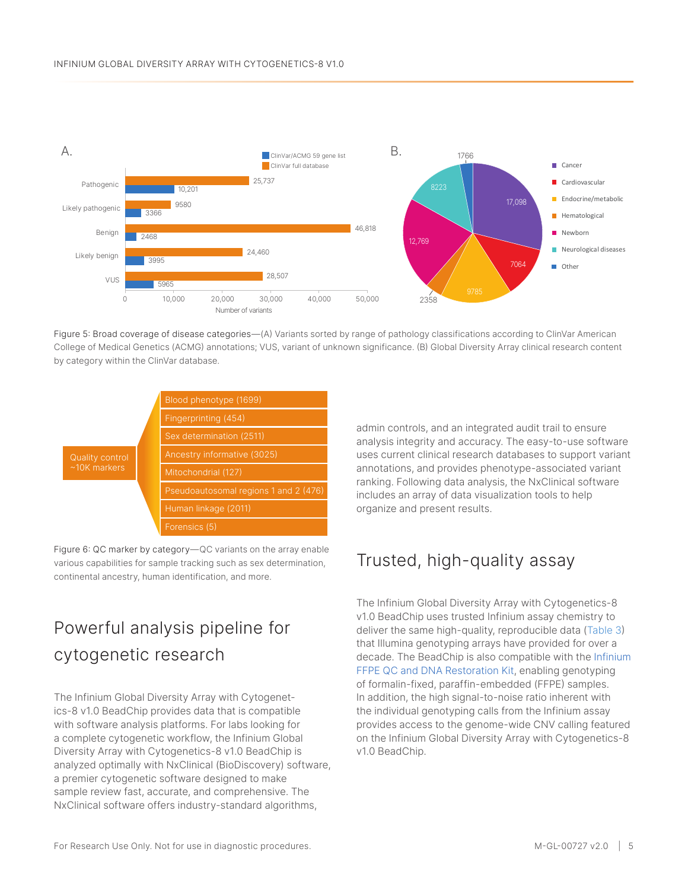

Figure 5: Broad coverage of disease categories—(A) Variants sorted by range of pathology classifications according to ClinVar American College of Medical Genetics (ACMG) annotations; VUS, variant of unknown significance. (B) Global Diversity Array clinical research content by category within the ClinVar database.



<span id="page-4-0"></span>Figure 6: QC marker by category—QC variants on the array enable various capabilities for sample tracking such as sex determination, continental ancestry, human identification, and more.

#### Powerful analysis pipeline for cytogenetic research

The Infinium Global Diversity Array with Cytogenetics-8 v1.0 BeadChip provides data that is compatible with software analysis platforms. For labs looking for a complete cytogenetic workflow, the Infinium Global Diversity Array with Cytogenetics-8 v1.0 BeadChip is analyzed optimally with NxClinical (BioDiscovery) software, a premier cytogenetic software designed to make sample review fast, accurate, and comprehensive. The NxClinical software offers industry-standard algorithms,

admin controls, and an integrated audit trail to ensure analysis integrity and accuracy. The easy-to-use software uses current clinical research databases to support variant annotations, and provides phenotype-associated variant ranking. Following data analysis, the NxClinical software includes an array of data visualization tools to help organize and present results.

#### Trusted, high-quality assay

The Infinium Global Diversity Array with Cytogenetics-8 v1.0 BeadChip uses trusted Infinium assay chemistry to deliver the same high-quality, reproducible data ([Table 3](#page-5-0)) that Illumina genotyping arrays have provided for over a decade. The BeadChip is also compatible with the [Infinium](https://www.illumina.com/products/by-type/molecular-biology-reagents/infinium-ffpe-qc-dna-restoration.html)  [FFPE QC and DNA Restoration Kit,](https://www.illumina.com/products/by-type/molecular-biology-reagents/infinium-ffpe-qc-dna-restoration.html) enabling genotyping of formalin-fixed, paraffin-embedded (FFPE) samples. In addition, the high signal-to-noise ratio inherent with the individual genotyping calls from the Infinium assay provides access to the genome-wide CNV calling featured on the Infinium Global Diversity Array with Cytogenetics-8 v1.0 BeadChip.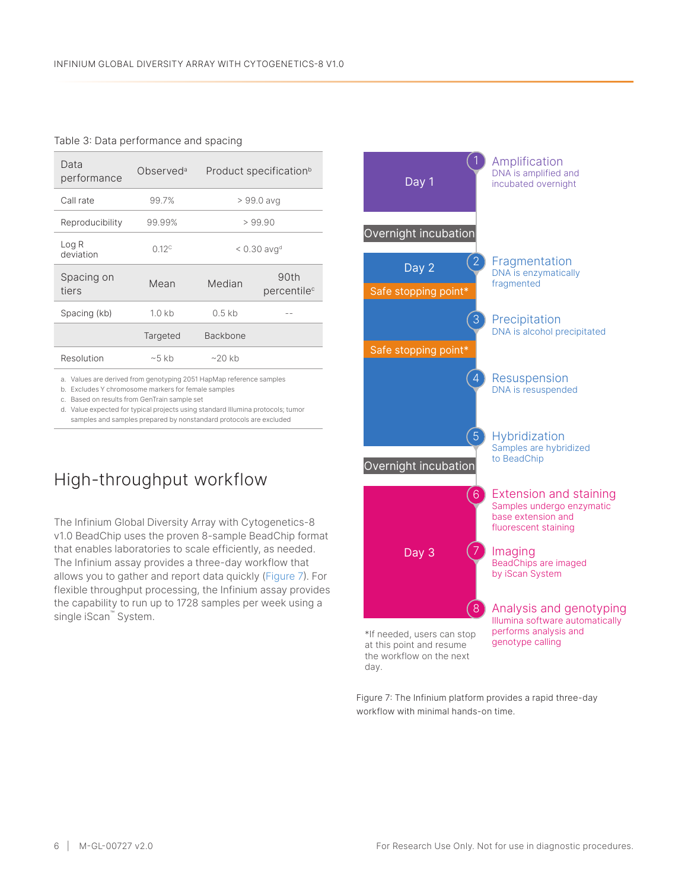#### <span id="page-5-0"></span>Table 3: Data performance and spacing

| Data<br>performance | Observed <sup>a</sup> | Product specification <sup>b</sup> |                                 |
|---------------------|-----------------------|------------------------------------|---------------------------------|
| Call rate           | 99.7%                 | > 99.0 avg                         |                                 |
| Reproducibility     | 99.99%                | >99.90                             |                                 |
| Log R<br>deviation  | 0.12 <sup>c</sup>     | $< 0.30$ avg <sup>d</sup>          |                                 |
| Spacing on<br>tiers | Mean                  | Median                             | 90th<br>percentile <sup>c</sup> |
| Spacing (kb)        | 1.0 <sub>k</sub> b    | $0.5$ kb                           |                                 |
|                     | Targeted              | <b>Backbone</b>                    |                                 |
| Resolution          | $~5$ kb               | $~20$ kb                           |                                 |

a. Values are derived from genotyping 2051 HapMap reference samples

b. Excludes Y chromosome markers for female samples

c. Based on results from GenTrain sample set

d. Value expected for typical projects using standard Illumina protocols; tumor samples and samples prepared by nonstandard protocols are excluded

#### High-throughput workflow

The Infinium Global Diversity Array with Cytogenetics-8 v1.0 BeadChip uses the proven 8-sample BeadChip format that enables laboratories to scale efficiently, as needed. The Infinium assay provides a three-day workflow that allows you to gather and report data quickly ([Figure 7](#page-5-1)). For flexible throughput processing, the Infinium assay provides the capability to run up to 1728 samples per week using a single iScan™ System.



<span id="page-5-1"></span>Figure 7: The Infinium platform provides a rapid three-day workflow with minimal hands-on time.